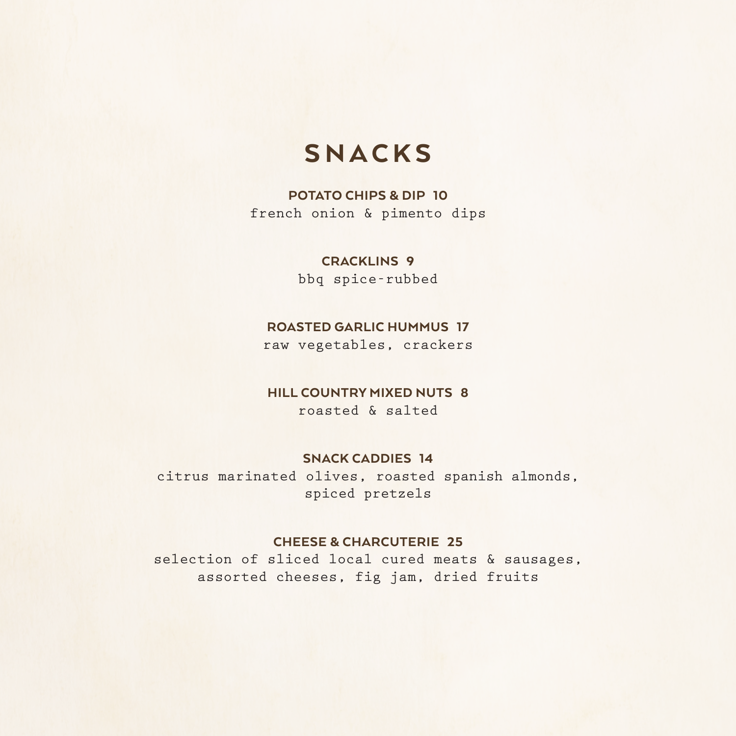# SNACKS

### POTATO CHIPS & DIP 10

french onion & pimento dips

### CRACKLINS 9

bbq spice-rubbed

### ROASTED GARLIC HUMMUS 17

raw vegetables, crackers

### HILL COUNTRY MIXED NUTS 8

roasted & salted

#### SNACK CADDIES 14

citrus marinated olives, roasted spanish almonds, spiced pretzels

### CHEESE & CHARCUTERIE 25

selection of sliced local cured meats & sausages, assorted cheeses, fig jam, dried fruits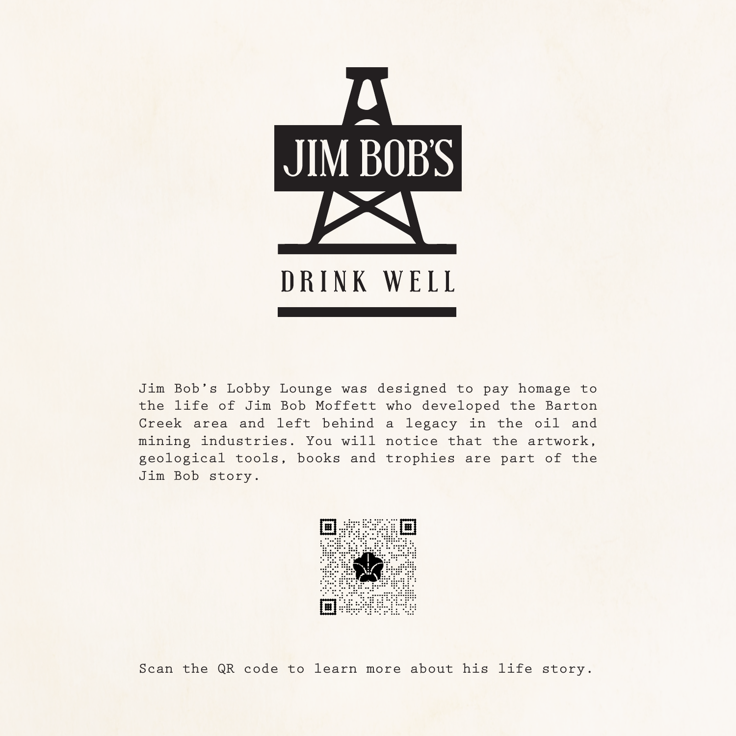

Jim Bob's Lobby Lounge was designed to pay homage to the life of Jim Bob Moffett who developed the Barton Creek area and left behind a legacy in the oil and mining industries. You will notice that the artwork, geological tools, books and trophies are part of the Jim Bob story.



Scan the QR code to learn more about his life story.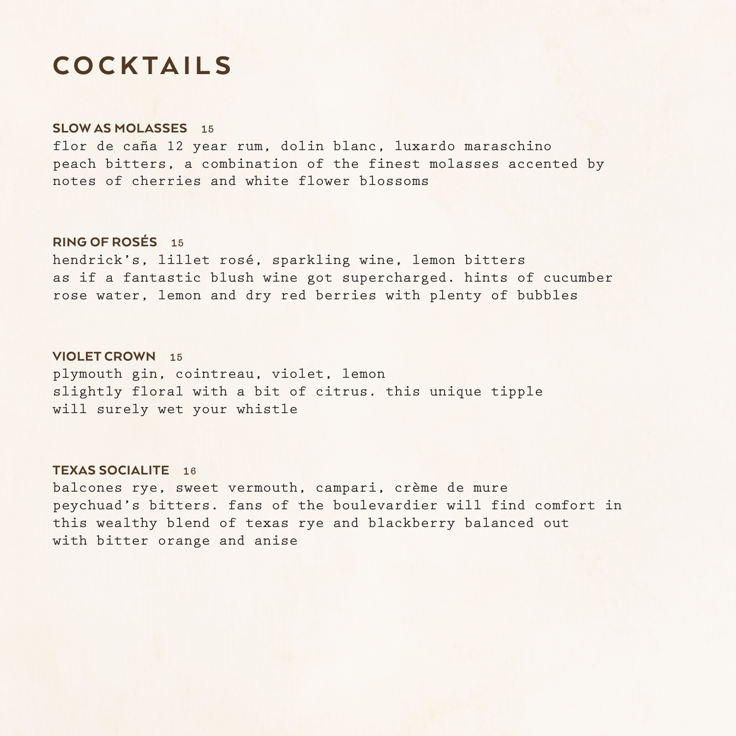# COCKTAILS

#### SLOW AS MOLASSES 15

flor de caña 12 year rum, dolin blanc, luxardo maraschino peach bitters, a combination of the finest molasses accented by notes of cherries and white flower blossoms

#### RING OF ROSÉS 15

hendrick's, lillet rosé, sparkling wine, lemon bitters as if a fantastic blush wine got supercharged. hints of cucumber rose water, lemon and dry red berries with plenty of bubbles

#### VIOLET CROWN 15

plymouth gin, cointreau, violet, lemon slightly floral with a bit of citrus. this unique tipple will surely wet your whistle

#### TEXAS SOCIALITE 16

balcones rye, sweet vermouth, campari, crème de mure peychuad's bitters. fans of the boulevardier will find comfort in this wealthy blend of texas rye and blackberry balanced out with bitter orange and anise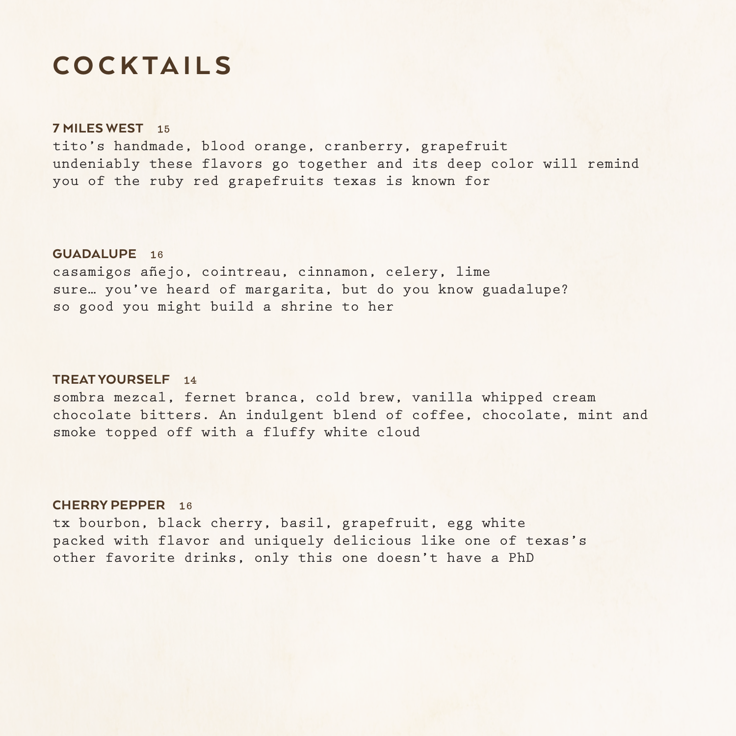# COCKTAILS

#### 7 MILES WEST 15

tito's handmade, blood orange, cranberry, grapefruit undeniably these flavors go together and its deep color will remind you of the ruby red grapefruits texas is known for

#### GUADALUPE 16

casamigos añejo, cointreau, cinnamon, celery, lime sure… you've heard of margarita, but do you know guadalupe? so good you might build a shrine to her

#### TREAT YOURSELF 14

sombra mezcal, fernet branca, cold brew, vanilla whipped cream chocolate bitters. An indulgent blend of coffee, chocolate, mint and smoke topped off with a fluffy white cloud

#### CHERRY PEPPER 16

tx bourbon, black cherry, basil, grapefruit, egg white packed with flavor and uniquely delicious like one of texas's other favorite drinks, only this one doesn't have a PhD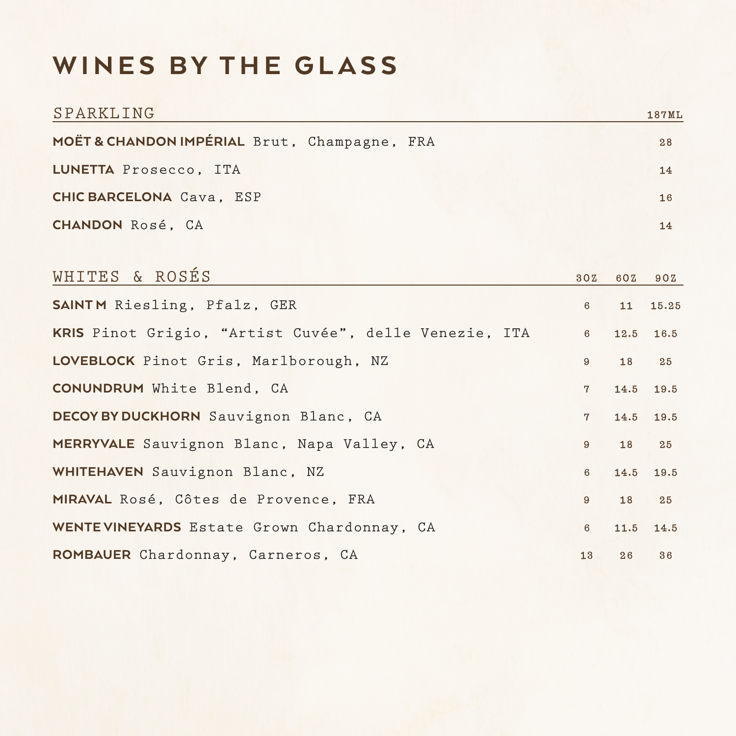# WINES BY THE GLASS

| SPARKLING                                             |                 |      | <b>187ML</b> |
|-------------------------------------------------------|-----------------|------|--------------|
| MOËT & CHANDON IMPÉRIAL Brut, Champagne, FRA          |                 |      | 28           |
| LUNETTA Prosecco, ITA                                 |                 |      | 14           |
| <b>CHIC BARCELONA Cava, ESP</b>                       |                 |      | 16           |
| <b>CHANDON</b> Rosé, CA                               |                 |      | 14           |
|                                                       |                 |      |              |
| WHITES & ROSÉS                                        | 30Z             | 60Z  | 90Z          |
| SAINTM Riesling, Pfalz, GER                           | $6\phantom{1}6$ | 11   | 15.25        |
| KRIS Pinot Grigio, "Artist Cuvée", delle Venezie, ITA | $6\overline{6}$ | 12.5 | 16.5         |
| LOVEBLOCK Pinot Gris, Marlborough, NZ                 | $9^{\circ}$     | 18   | 25           |
| <b>CONUNDRUM</b> White Blend, CA                      | $7\overline{ }$ | 14.5 | 19.5         |
| DECOYBY DUCKHORN Sauvignon Blanc, CA                  | $7^{\circ}$     | 14.5 | 19.5         |
| MERRYVALE Sauvignon Blanc, Napa Valley, CA            | $9^{\circ}$     | 18   | 25           |
| WHITEHAVEN Sauvignon Blanc, NZ                        | $6\phantom{1}$  | 14.5 | 19.5         |
| MIRAVAL Rosé, Côtes de Provence, FRA                  | 9               | 18   | 25           |
| WENTEVINEYARDS Estate Grown Chardonnay, CA            | $6\overline{6}$ | 11.5 | 14.5         |
| ROMBAUER Chardonnay, Carneros, CA                     | 13              | 26   | 36           |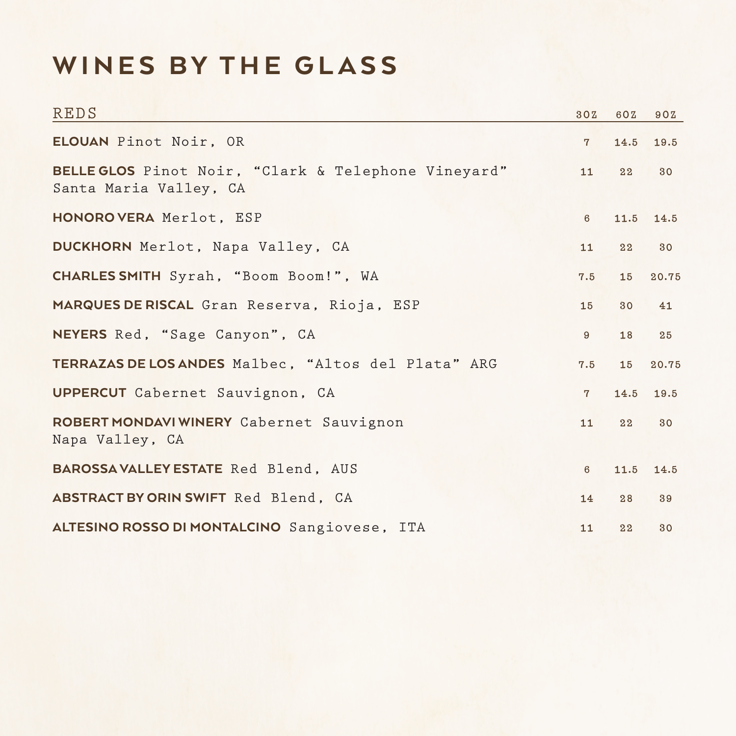# WINES BY THE GLASS

| <b>REDS</b>                                                                   | 30Z            | 60Z  | 90Z   |
|-------------------------------------------------------------------------------|----------------|------|-------|
| ELOUAN Pinot Noir, OR                                                         | $7^{\circ}$    | 14.5 | 19.5  |
| BELLE GLOS Pinot Noir, "Clark & Telephone Vineyard"<br>Santa Maria Valley, CA | 11             | 22   | 30    |
| HONORO VERA Merlot, ESP                                                       | $6\phantom{1}$ | 11.5 | 14.5  |
| DUCKHORN Merlot, Napa Valley, CA                                              | 11             | 22   | 30    |
| CHARLES SMITH Syrah, "Boom Boom!", WA                                         | 7.5            | 15   | 20.75 |
| MARQUES DE RISCAL Gran Reserva, Rioja, ESP                                    | 15             | 30   | 41    |
| NEYERS Red, "Sage Canyon", CA                                                 | $9^{\circ}$    | 18   | 25    |
| TERRAZAS DE LOS ANDES Malbec, "Altos del Plata" ARG                           | 7.5            | 15   | 20.75 |
| UPPERCUT Cabernet Sauvignon, CA                                               | $7^{\circ}$    | 14.5 | 19.5  |
| ROBERT MONDAVI WINERY Cabernet Sauvignon<br>Napa Valley, CA                   | 11             | 22   | 30    |
| BAROSSAVALLEY ESTATE Red Blend, AUS                                           | $6\phantom{1}$ | 11.5 | 14.5  |
| ABSTRACT BY ORIN SWIFT Red Blend, CA                                          | 14             | 28   | 39    |
| ALTESINO ROSSO DI MONTALCINO Sangiovese, ITA                                  | 11             | 22   | 30    |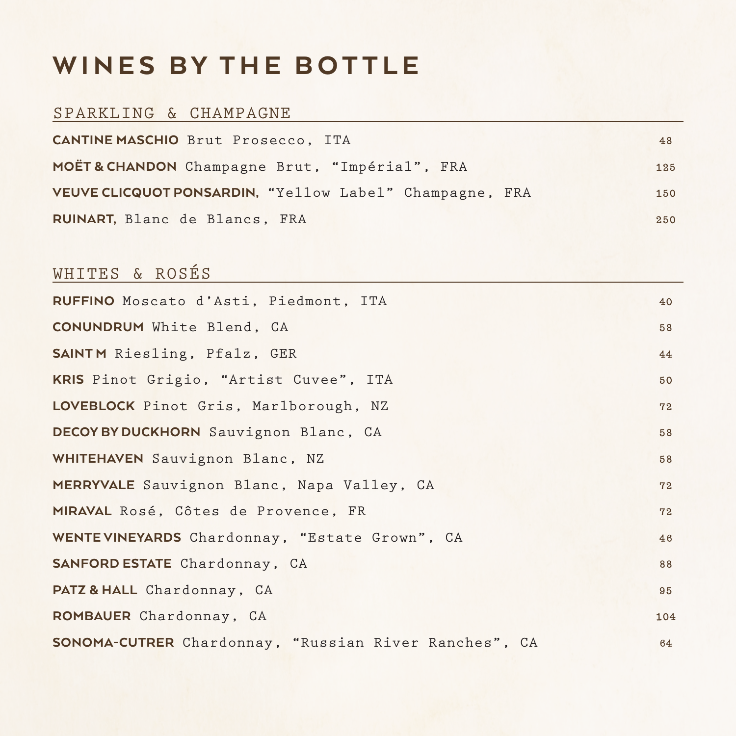# WINES BY THE BOTTLE

### SPARKLING & CHAMPAGNE

| <b>CANTINE MASCHIO</b> Brut Prosecco, ITA               | 48  |
|---------------------------------------------------------|-----|
| MOËT& CHANDON Champagne Brut, "Impérial", FRA           | 125 |
| VEUVE CLICQUOT PONSARDIN, "Yellow Label" Champagne, FRA | 150 |
| RUINART, Blanc de Blancs, FRA                           | 250 |

### WHITES & ROSÉS

| RUFFINO Moscato d'Asti, Piedmont, ITA                 | 40 <sup>°</sup> |
|-------------------------------------------------------|-----------------|
| <b>CONUNDRUM</b> White Blend, CA                      | 58              |
| <b>SAINTM</b> Riesling, Pfalz, GER                    | 44              |
| KRIS Pinot Grigio, "Artist Cuvee", ITA                | 50              |
| LOVEBLOCK Pinot Gris, Marlborough, NZ                 | 72              |
| DECOYBY DUCKHORN Sauvignon Blanc, CA                  | 58              |
| WHITEHAVEN Sauvignon Blanc, NZ                        | 58              |
| MERRYVALE Sauvignon Blanc, Napa Valley, CA            | 72              |
| MIRAVAL Rosé, Côtes de Provence, FR                   | 72              |
| WENTE VINEYARDS Chardonnay, "Estate Grown", CA        | 46              |
| SANFORD ESTATE Chardonnay, CA                         | 88              |
| PATZ & HALL Chardonnay, CA                            | 95              |
| ROMBAUER Chardonnay, CA                               | 104             |
| SONOMA-CUTRER Chardonnay, "Russian River Ranches", CA | 64              |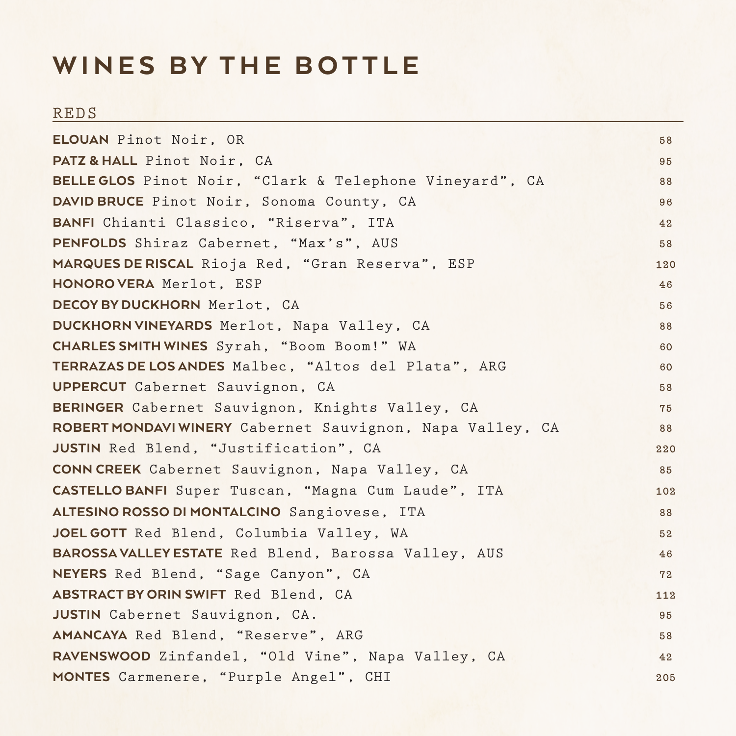# WINES BY THE BOTTLE

### REDS

| ELOUAN Pinot Noir, OR                                    | 58  |
|----------------------------------------------------------|-----|
| PATZ & HALL Pinot Noir, CA                               | 95  |
| BELLE GLOS Pinot Noir, "Clark & Telephone Vineyard", CA  | 88  |
| DAVID BRUCE Pinot Noir, Sonoma County, CA                | 96  |
| BANFI Chianti Classico, "Riserva", ITA                   | 42  |
| PENFOLDS Shiraz Cabernet, "Max's", AUS                   | 58  |
| MARQUES DE RISCAL Rioja Red, "Gran Reserva", ESP         | 120 |
| HONORO VERA Merlot, ESP                                  | 46  |
| DECOYBY DUCKHORN Merlot, CA                              | 56  |
| DUCKHORN VINEYARDS Merlot, Napa Valley, CA               | 88  |
| <b>CHARLES SMITH WINES</b> Syrah, "Boom Boom!" WA        | 60  |
| TERRAZAS DE LOS ANDES Malbec, "Altos del Plata", ARG     | 60  |
| <b>UPPERCUT</b> Cabernet Sauvignon, CA                   | 58  |
| BERINGER Cabernet Sauvignon, Knights Valley, CA          | 75  |
| ROBERT MONDAVIWINERY Cabernet Sauvignon, Napa Valley, CA | 88  |
| JUSTIN Red Blend, "Justification", CA                    | 220 |
| CONN CREEK Cabernet Sauvignon, Napa Valley, CA           | 85  |
| CASTELLO BANFI Super Tuscan, "Magna Cum Laude", ITA      | 102 |
| ALTESINO ROSSO DI MONTALCINO Sangiovese, ITA             | 88  |
| JOEL GOTT Red Blend, Columbia Valley, WA                 | 52  |
| BAROSSAVALLEY ESTATE Red Blend, Barossa Valley, AUS      | 46  |
| NEYERS Red Blend, "Sage Canyon", CA                      | 72  |
| ABSTRACT BY ORIN SWIFT Red Blend, CA                     | 112 |
| JUSTIN Cabernet Sauvignon, CA.                           | 95  |
| AMANCAYA Red Blend, "Reserve", ARG                       | 58  |
| RAVENSWOOD Zinfandel, "Old Vine", Napa Valley, CA        | 42  |
| MONTES Carmenere, "Purple Angel", CHI                    | 205 |
|                                                          |     |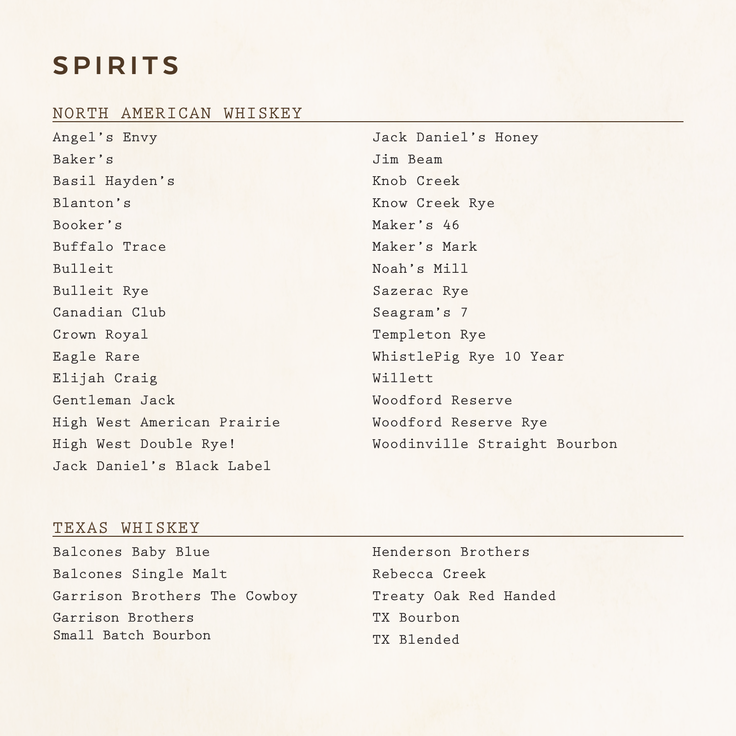# SPIRITS

### NORTH AMERICAN WHISKEY

| Angel's Envy               | Jack Daniel's Honey          |
|----------------------------|------------------------------|
| Baker's                    | Jim Beam                     |
| Basil Hayden's             | Knob Creek                   |
| Blanton's                  | Know Creek Rye               |
| Booker's                   | Maker's 46                   |
| Buffalo Trace              | Maker's Mark                 |
| Bulleit                    | Noah's Mill                  |
| Bulleit Rye                | Sazerac Rye                  |
| Canadian Club              | Seagram's 7                  |
| Crown Royal                | Templeton Rye                |
| Eagle Rare                 | WhistlePig Rye 10 Year       |
| Elijah Craig               | Willett                      |
| Gentleman Jack             | Woodford Reserve             |
| High West American Prairie | Woodford Reserve Rye         |
| High West Double Rye!      | Woodinville Straight Bourbon |
| Jack Daniel's Black Label  |                              |

### TEXAS WHISKEY

| Balcones Baby Blue           | Henderson Brothers    |
|------------------------------|-----------------------|
| Balcones Single Malt         | Rebecca Creek         |
| Garrison Brothers The Cowboy | Treaty Oak Red Handed |
| Garrison Brothers            | TX Bourbon            |
| Small Batch Bourbon          | TX Blended            |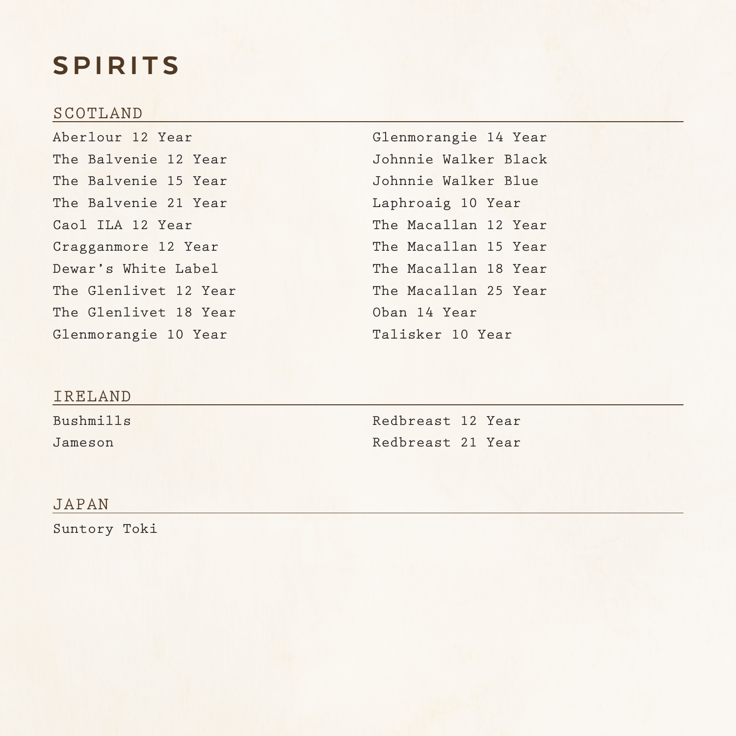# SPIRITS

### SCOTLAND

Aberlour 12 Year The Balvenie 12 Year The Balvenie 15 Year The Balvenie 21 Year Caol ILA 12 Year Cragganmore 12 Year Dewar's White Label The Glenlivet 12 Year The Glenlivet 18 Year Glenmorangie 10 Year

Glenmorangie 14 Year Johnnie Walker Black Johnnie Walker Blue Laphroaig 10 Year The Macallan 12 Year The Macallan 15 Year The Macallan 18 Year The Macallan 25 Year Oban 14 Year Talisker 10 Year

### IRELAND

Bushmills Jameson

Redbreast 12 Year Redbreast 21 Year

### JAPAN

Suntory Toki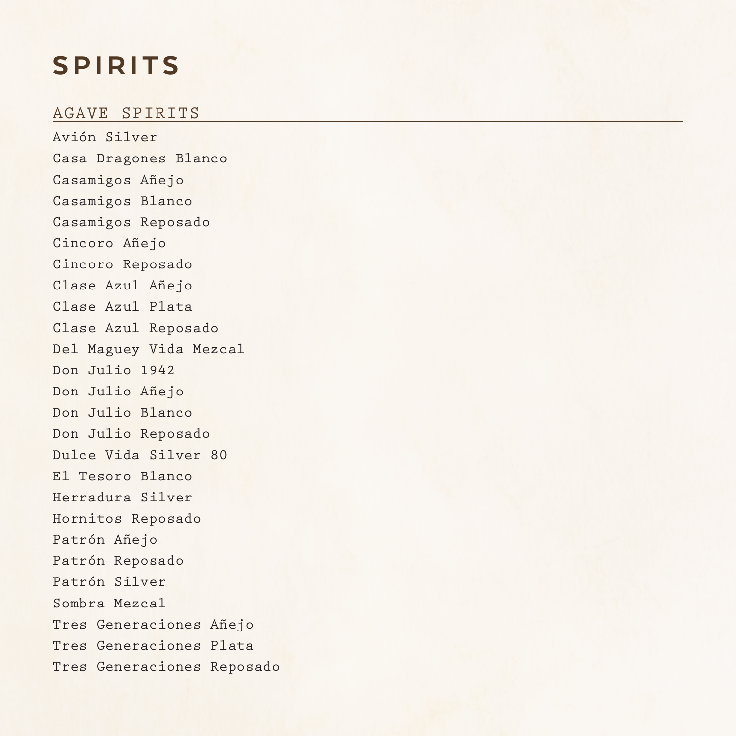# SPIRITS

### AGAVE SPIRITS

Avión Silver Casa Dragones Blanco Casamigos Añejo Casamigos Blanco Casamigos Reposado Cincoro Añejo Cincoro Reposado Clase Azul Añejo Clase Azul Plata Clase Azul Reposado Del Maguey Vida Mezcal Don Julio 1942 Don Julio Añejo Don Julio Blanco Don Julio Reposado Dulce Vida Silver 80 El Tesoro Blanco Herradura Silver Hornitos Reposado Patrón Añejo Patrón Reposado Patrón Silver Sombra Mezcal Tres Generaciones Añejo Tres Generaciones Plata Tres Generaciones Reposado